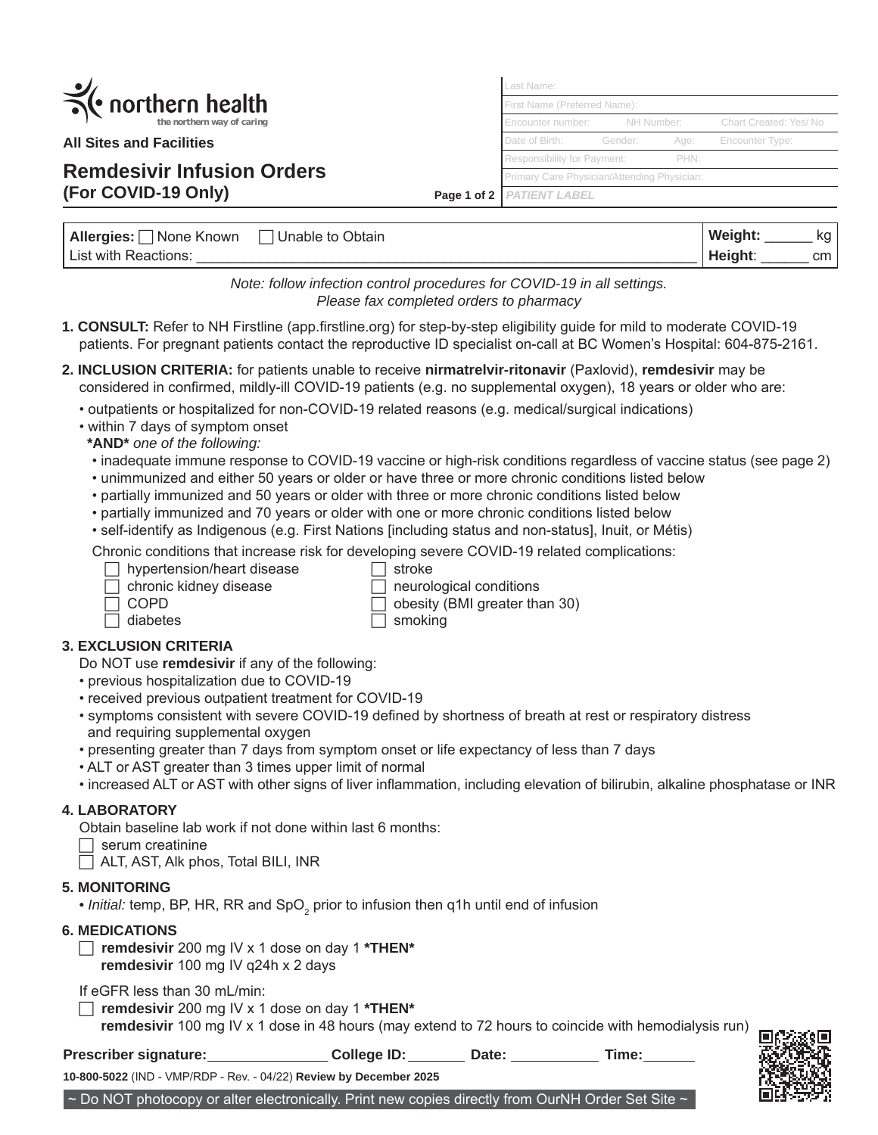| $\leq$ northern health |                            |  |  |
|------------------------|----------------------------|--|--|
|                        | the northern way of caring |  |  |

**All Sites and Facilities**

# **Remdesivir Infusion Orders (For COVID-19 Only) Page 1 of 2**

*PATIENT LABEL* Last Name: First Name (Preferred Name) Encounter number: NH Number: Chart Created: Yes/ No Date of Birth: Gender: Age: Encounter Type: Responsibility for Payment: PHN: Primary Care Physician/Attending Physician:

| Allergies:<br>' None Known | Unable to Obtain | Weight: | ka            |
|----------------------------|------------------|---------|---------------|
| List with Reactions:       |                  | Height: | <sub>cm</sub> |

*Note: follow infection control procedures for COVID-19 in all settings. Please fax completed orders to pharmacy*

- **1. CONSULT:** Refer to NH Firstline (app.firstline.org) for step-by-step eligibility guide for mild to moderate COVID-19 patients. For pregnant patients contact the reproductive ID specialist on-call at BC Women's Hospital: 604-875-2161.
- **2. INCLUSION CRITERIA:** for patients unable to receive **nirmatrelvir-ritonavir** (Paxlovid), **remdesivir** may be considered in confirmed, mildly-ill COVID-19 patients (e.g. no supplemental oxygen), 18 years or older who are:
	- outpatients or hospitalized for non-COVID-19 related reasons (e.g. medical/surgical indications)
	- within 7 days of symptom onset
	- **\*AND\*** *one of the following:*
	- inadequate immune response to COVID-19 vaccine or high-risk conditions regardless of vaccine status (see page 2)
	- unimmunized and either 50 years or older or have three or more chronic conditions listed below
	- partially immunized and 50 years or older with three or more chronic conditions listed below
	- partially immunized and 70 years or older with one or more chronic conditions listed below
	- self-identify as Indigenous (e.g. First Nations [including status and non-status], Inuit, or Métis)

Chronic conditions that increase risk for developing severe COVID-19 related complications:

- $\Box$  hypertension/heart disease  $\Box$  stroke
- chronic kidney disease  $\Box$  neurological conditions

 $\Box$  diabetes  $\Box$  smoking

 $\Box$  COPD  $\Box$  obesity (BMI greater than 30)

# **3. EXCLUSION CRITERIA**

Do NOT use **remdesivir** if any of the following:

- previous hospitalization due to COVID-19
- received previous outpatient treatment for COVID-19
- symptoms consistent with severe COVID-19 defined by shortness of breath at rest or respiratory distress and requiring supplemental oxygen
- presenting greater than 7 days from symptom onset or life expectancy of less than 7 days
- ALT or AST greater than 3 times upper limit of normal
- increased ALT or AST with other signs of liver inflammation, including elevation of bilirubin, alkaline phosphatase or INR

# **4. LABORATORY**

Obtain baseline lab work if not done within last 6 months:

- $\Box$  serum creatinine
- $\Box$  ALT, AST, Alk phos, Total BILI, INR

# **5. MONITORING**

 $\bullet$  *Initial:* temp, BP, HR, RR and SpO $_2$  prior to infusion then q1h until end of infusion

#### **6. MEDICATIONS**

 **remdesivir** 200 mg IV x 1 dose on day 1 **\*THEN\* remdesivir** 100 mg IV q24h x 2 days

If eGFR less than 30 mL/min:

**remdesivir** 200 mg IV x 1 dose on day 1 **\*THEN\***

**remdesivir** 100 mg IV x 1 dose in 48 hours (may extend to 72 hours to coincide with hemodialysis run)

**Prescriber signature: College ID: Date: Time:**

**10-800-5022** (IND - VMP/RDP - Rev. - 04/22) **Review by December 2025**

~ Do NOT photocopy or alter electronically. Print new copies directly from OurNH Order Set Site ~